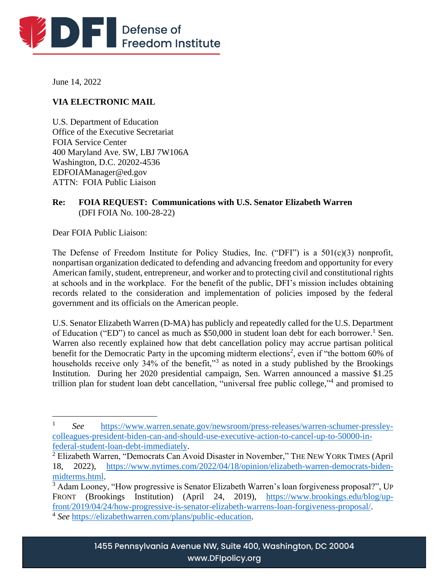

June 14, 2022

# **VIA ELECTRONIC MAIL**

U.S. Department of Education Office of the Executive Secretariat FOIA Service Center 400 Maryland Ave. SW, LBJ 7W106A Washington, D.C. 20202-4536 EDFOIAManager@ed.gov ATTN: FOIA Public Liaison

## **Re: FOIA REQUEST: Communications with U.S. Senator Elizabeth Warren**  (DFI FOIA No. 100-28-22)

Dear FOIA Public Liaison:

The Defense of Freedom Institute for Policy Studies, Inc. ("DFI") is a 501(c)(3) nonprofit, nonpartisan organization dedicated to defending and advancing freedom and opportunity for every American family, student, entrepreneur, and worker and to protecting civil and constitutional rights at schools and in the workplace. For the benefit of the public, DFI's mission includes obtaining records related to the consideration and implementation of policies imposed by the federal government and its officials on the American people.

U.S. Senator Elizabeth Warren (D-MA) has publicly and repeatedly called for the U.S. Department of Education ("ED") to cancel as much as \$50,000 in student loan debt for each borrower.<sup>1</sup> Sen. Warren also recently explained how that debt cancellation policy may accrue partisan political benefit for the Democratic Party in the upcoming midterm elections<sup>2</sup>, even if "the bottom 60% of households receive only 34% of the benefit,"<sup>3</sup> as noted in a study published by the Brookings Institution. During her 2020 presidential campaign, Sen. Warren announced a massive \$1.25 trillion plan for student loan debt cancellation, "universal free public college,"<sup>4</sup> and promised to

<sup>1</sup> *See* [https://www.warren.senate.gov/newsroom/press-releases/warren-schumer-pressley](https://www.warren.senate.gov/newsroom/press-releases/warren-schumer-pressley-colleagues-president-biden-can-and-should-use-executive-action-to-cancel-up-to-50000-in-federal-student-loan-debt-immediately)[colleagues-president-biden-can-and-should-use-executive-action-to-cancel-up-to-50000-in](https://www.warren.senate.gov/newsroom/press-releases/warren-schumer-pressley-colleagues-president-biden-can-and-should-use-executive-action-to-cancel-up-to-50000-in-federal-student-loan-debt-immediately)[federal-student-loan-debt-immediately.](https://www.warren.senate.gov/newsroom/press-releases/warren-schumer-pressley-colleagues-president-biden-can-and-should-use-executive-action-to-cancel-up-to-50000-in-federal-student-loan-debt-immediately)

<sup>&</sup>lt;sup>2</sup> Elizabeth Warren, "Democrats Can Avoid Disaster in November," THE NEW YORK TIMES (April 18, 2022), [https://www.nytimes.com/2022/04/18/opinion/elizabeth-warren-democrats-biden](https://www.nytimes.com/2022/04/18/opinion/elizabeth-warren-democrats-biden-midterms.html)[midterms.html.](https://www.nytimes.com/2022/04/18/opinion/elizabeth-warren-democrats-biden-midterms.html)

<sup>&</sup>lt;sup>3</sup> Adam Looney, "How progressive is Senator Elizabeth Warren's loan forgiveness proposal?", UP FRONT (Brookings Institution) (April 24, 2019), [https://www.brookings.edu/blog/up](https://www.brookings.edu/blog/up-front/2019/04/24/how-progressive-is-senator-elizabeth-warrens-loan-forgiveness-proposal/)[front/2019/04/24/how-progressive-is-senator-elizabeth-warrens-loan-forgiveness-proposal/.](https://www.brookings.edu/blog/up-front/2019/04/24/how-progressive-is-senator-elizabeth-warrens-loan-forgiveness-proposal/)

<sup>4</sup> *See* [https://elizabethwarren.com/plans/public-education.](https://elizabethwarren.com/plans/public-education)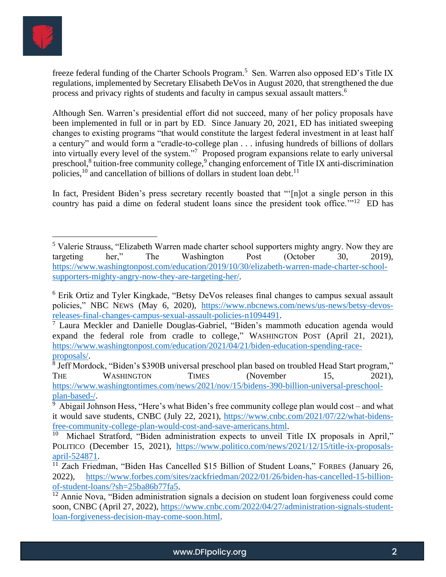

freeze federal funding of the Charter Schools Program.<sup>5</sup> Sen. Warren also opposed ED's Title IX regulations, implemented by Secretary Elisabeth DeVos in August 2020, that strengthened the due process and privacy rights of students and faculty in campus sexual assault matters.<sup>6</sup>

Although Sen. Warren's presidential effort did not succeed, many of her policy proposals have been implemented in full or in part by ED. Since January 20, 2021, ED has initiated sweeping changes to existing programs "that would constitute the largest federal investment in at least half a century" and would form a "cradle-to-college plan . . . infusing hundreds of billions of dollars into virtually every level of the system."<sup>7</sup> Proposed program expansions relate to early universal preschool,<sup>8</sup> tuition-free community college,<sup>9</sup> changing enforcement of Title IX anti-discrimination policies,  $10$  and cancellation of billions of dollars in student loan debt.  $11$ 

In fact, President Biden's press secretary recently boasted that "'[n]ot a single person in this country has paid a dime on federal student loans since the president took office."<sup>12</sup> ED has

<sup>&</sup>lt;sup>5</sup> Valerie Strauss, "Elizabeth Warren made charter school supporters mighty angry. Now they are targeting her," The Washington Post (October 30, 2019), [https://www.washingtonpost.com/education/2019/10/30/elizabeth-warren-made-charter-school](https://www.washingtonpost.com/education/2019/10/30/elizabeth-warren-made-charter-school-supporters-mighty-angry-now-they-are-targeting-her/)[supporters-mighty-angry-now-they-are-targeting-her/.](https://www.washingtonpost.com/education/2019/10/30/elizabeth-warren-made-charter-school-supporters-mighty-angry-now-they-are-targeting-her/)

<sup>6</sup> Erik Ortiz and Tyler Kingkade, "Betsy DeVos releases final changes to campus sexual assault policies," NBC NEWS (May 6, 2020), [https://www.nbcnews.com/news/us-news/betsy-devos](https://www.nbcnews.com/news/us-news/betsy-devos-releases-final-changes-campus-sexual-assault-policies-n1094491)[releases-final-changes-campus-sexual-assault-policies-n1094491.](https://www.nbcnews.com/news/us-news/betsy-devos-releases-final-changes-campus-sexual-assault-policies-n1094491)

<sup>&</sup>lt;sup>7</sup> Laura Meckler and Danielle Douglas-Gabriel, "Biden's mammoth education agenda would expand the federal role from cradle to college," WASHINGTON POST (April 21, 2021), [https://www.washingtonpost.com/education/2021/04/21/biden-education-spending-race](https://www.washingtonpost.com/education/2021/04/21/biden-education-spending-race-proposals/)[proposals/.](https://www.washingtonpost.com/education/2021/04/21/biden-education-spending-race-proposals/)

<sup>&</sup>lt;sup>8</sup> Jeff Mordock, "Biden's \$390B universal preschool plan based on troubled Head Start program," THE WASHINGTON TIMES (November 15, 2021), [https://www.washingtontimes.com/news/2021/nov/15/bidens-390-billion-universal-preschool](https://www.washingtontimes.com/news/2021/nov/15/bidens-390-billion-universal-preschool-plan-based-/)[plan-based-/.](https://www.washingtontimes.com/news/2021/nov/15/bidens-390-billion-universal-preschool-plan-based-/)

 $9$  Abigail Johnson Hess, "Here's what Biden's free community college plan would cost – and what it would save students, CNBC (July 22, 2021), [https://www.cnbc.com/2021/07/22/what-bidens](https://www.cnbc.com/2021/07/22/what-bidens-free-community-college-plan-would-cost-and-save-americans.html)[free-community-college-plan-would-cost-and-save-americans.html.](https://www.cnbc.com/2021/07/22/what-bidens-free-community-college-plan-would-cost-and-save-americans.html)

<sup>10</sup> Michael Stratford, "Biden administration expects to unveil Title IX proposals in April," POLITICO (December 15, 2021), [https://www.politico.com/news/2021/12/15/title-ix-proposals](https://www.politico.com/news/2021/12/15/title-ix-proposals-april-524871)[april-524871.](https://www.politico.com/news/2021/12/15/title-ix-proposals-april-524871)

<sup>&</sup>lt;sup>11</sup> Zach Friedman, "Biden Has Cancelled \$15 Billion of Student Loans," FORBES (January 26, 2022), [https://www.forbes.com/sites/zackfriedman/2022/01/26/biden-has-cancelled-15-billion](https://www.forbes.com/sites/zackfriedman/2022/01/26/biden-has-cancelled-15-billion-of-student-loans/?sh=25ba86b77fa5)[of-student-loans/?sh=25ba86b77fa5.](https://www.forbes.com/sites/zackfriedman/2022/01/26/biden-has-cancelled-15-billion-of-student-loans/?sh=25ba86b77fa5)

 $\frac{12}{12}$  Annie Nova, "Biden administration signals a decision on student loan forgiveness could come soon, CNBC (April 27, 2022), [https://www.cnbc.com/2022/04/27/administration-signals-student](https://www.cnbc.com/2022/04/27/administration-signals-student-loan-forgiveness-decision-may-come-soon.html)[loan-forgiveness-decision-may-come-soon.html.](https://www.cnbc.com/2022/04/27/administration-signals-student-loan-forgiveness-decision-may-come-soon.html)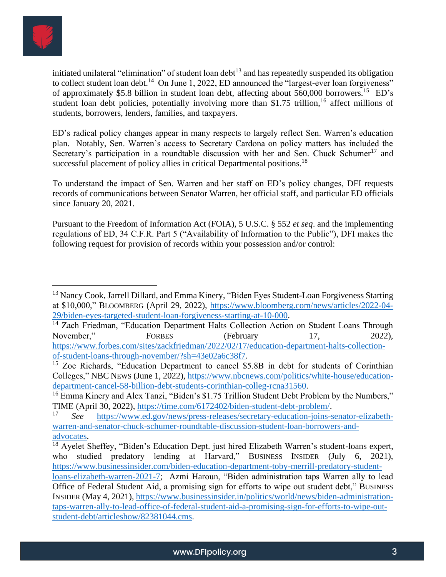

initiated unilateral "elimination" of student loan debt<sup>13</sup> and has repeatedly suspended its obligation to collect student loan debt.<sup>14</sup> On June 1, 2022, ED announced the "largest-ever loan forgiveness" of approximately \$5.8 billion in student loan debt, affecting about 560,000 borrowers.<sup>15</sup> ED's student loan debt policies, potentially involving more than \$1.75 trillion,<sup>16</sup> affect millions of students, borrowers, lenders, families, and taxpayers.

ED's radical policy changes appear in many respects to largely reflect Sen. Warren's education plan. Notably, Sen. Warren's access to Secretary Cardona on policy matters has included the Secretary's participation in a roundtable discussion with her and Sen. Chuck Schumer<sup>17</sup> and successful placement of policy allies in critical Departmental positions.<sup>18</sup>

To understand the impact of Sen. Warren and her staff on ED's policy changes, DFI requests records of communications between Senator Warren, her official staff, and particular ED officials since January 20, 2021.

Pursuant to the Freedom of Information Act (FOIA), 5 U.S.C. § 552 *et seq*. and the implementing regulations of ED, 34 C.F.R. Part 5 ("Availability of Information to the Public"), DFI makes the following request for provision of records within your possession and/or control:

<sup>&</sup>lt;sup>13</sup> Nancy Cook, Jarrell Dillard, and Emma Kinery, "Biden Eyes Student-Loan Forgiveness Starting at \$10,000," BLOOMBERG (April 29, 2022), [https://www.bloomberg.com/news/articles/2022-04-](https://www.bloomberg.com/news/articles/2022-04-29/biden-eyes-targeted-student-loan-forgiveness-starting-at-10-000) [29/biden-eyes-targeted-student-loan-forgiveness-starting-at-10-000.](https://www.bloomberg.com/news/articles/2022-04-29/biden-eyes-targeted-student-loan-forgiveness-starting-at-10-000)

<sup>&</sup>lt;sup>14</sup> Zach Friedman, "Education Department Halts Collection Action on Student Loans Through November," FORBES (February 17, 2022), [https://www.forbes.com/sites/zackfriedman/2022/02/17/education-department-halts-collection](https://www.forbes.com/sites/zackfriedman/2022/02/17/education-department-halts-collection-of-student-loans-through-november/?sh=43e02a6c38f7)[of-student-loans-through-november/?sh=43e02a6c38f7.](https://www.forbes.com/sites/zackfriedman/2022/02/17/education-department-halts-collection-of-student-loans-through-november/?sh=43e02a6c38f7)

<sup>&</sup>lt;sup>15</sup> Zoe Richards, "Education Department to cancel \$5.8B in debt for students of Corinthian Colleges," NBC NEWS (June 1, 2022), [https://www.nbcnews.com/politics/white-house/education](https://www.nbcnews.com/politics/white-house/education-department-cancel-58-billion-debt-students-corinthian-colleg-rcna31560)[department-cancel-58-billion-debt-students-corinthian-colleg-rcna31560.](https://www.nbcnews.com/politics/white-house/education-department-cancel-58-billion-debt-students-corinthian-colleg-rcna31560)

<sup>&</sup>lt;sup>16</sup> Emma Kinery and Alex Tanzi, "Biden's \$1.75 Trillion Student Debt Problem by the Numbers," TIME (April 30, 2022), [https://time.com/6172402/biden-student-debt-problem/.](https://time.com/6172402/biden-student-debt-problem/)

<sup>17</sup> *See* [https://www.ed.gov/news/press-releases/secretary-education-joins-senator-elizabeth](https://www.ed.gov/news/press-releases/secretary-education-joins-senator-elizabeth-warren-and-senator-chuck-schumer-roundtable-discussion-student-loan-borrowers-and-advocates)[warren-and-senator-chuck-schumer-roundtable-discussion-student-loan-borrowers-and](https://www.ed.gov/news/press-releases/secretary-education-joins-senator-elizabeth-warren-and-senator-chuck-schumer-roundtable-discussion-student-loan-borrowers-and-advocates)[advocates.](https://www.ed.gov/news/press-releases/secretary-education-joins-senator-elizabeth-warren-and-senator-chuck-schumer-roundtable-discussion-student-loan-borrowers-and-advocates)

<sup>&</sup>lt;sup>18</sup> Ayelet Sheffey, "Biden's Education Dept. just hired Elizabeth Warren's student-loans expert, who studied predatory lending at Harvard," BUSINESS INSIDER (July 6, 2021), [https://www.businessinsider.com/biden-education-department-toby-merrill-predatory-student-](https://www.businessinsider.com/biden-education-department-toby-merrill-predatory-student-loans-elizabeth-warren-2021-7)

[loans-elizabeth-warren-2021-7;](https://www.businessinsider.com/biden-education-department-toby-merrill-predatory-student-loans-elizabeth-warren-2021-7) Azmi Haroun, "Biden administration taps Warren ally to lead Office of Federal Student Aid, a promising sign for efforts to wipe out student debt," BUSINESS INSIDER (May 4, 2021)[, https://www.businessinsider.in/politics/world/news/biden-administration](https://www.businessinsider.in/politics/world/news/biden-administration-taps-warren-ally-to-lead-office-of-federal-student-aid-a-promising-sign-for-efforts-to-wipe-out-student-debt/articleshow/82381044.cms)[taps-warren-ally-to-lead-office-of-federal-student-aid-a-promising-sign-for-efforts-to-wipe-out](https://www.businessinsider.in/politics/world/news/biden-administration-taps-warren-ally-to-lead-office-of-federal-student-aid-a-promising-sign-for-efforts-to-wipe-out-student-debt/articleshow/82381044.cms)[student-debt/articleshow/82381044.cms.](https://www.businessinsider.in/politics/world/news/biden-administration-taps-warren-ally-to-lead-office-of-federal-student-aid-a-promising-sign-for-efforts-to-wipe-out-student-debt/articleshow/82381044.cms)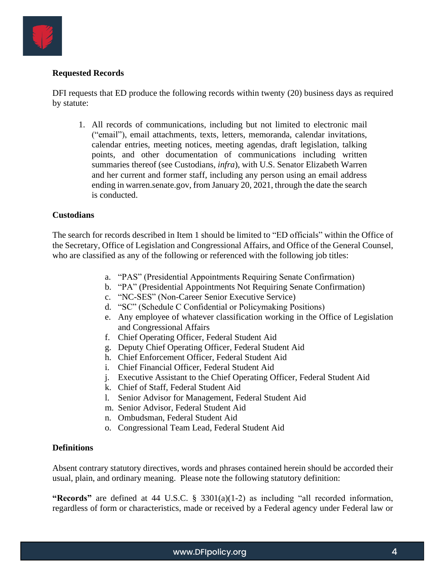

### **Requested Records**

DFI requests that ED produce the following records within twenty (20) business days as required by statute:

1. All records of communications, including but not limited to electronic mail ("email"), email attachments, texts, letters, memoranda, calendar invitations, calendar entries, meeting notices, meeting agendas, draft legislation, talking points, and other documentation of communications including written summaries thereof (see Custodians, *infra*), with U.S. Senator Elizabeth Warren and her current and former staff, including any person using an email address ending in warren.senate.gov, from January 20, 2021, through the date the search is conducted.

#### **Custodians**

The search for records described in Item 1 should be limited to "ED officials" within the Office of the Secretary, Office of Legislation and Congressional Affairs, and Office of the General Counsel, who are classified as any of the following or referenced with the following job titles:

- a. "PAS" (Presidential Appointments Requiring Senate Confirmation)
- b. "PA" (Presidential Appointments Not Requiring Senate Confirmation)
- c. "NC-SES" (Non-Career Senior Executive Service)
- d. "SC" (Schedule C Confidential or Policymaking Positions)
- e. Any employee of whatever classification working in the Office of Legislation and Congressional Affairs
- f. Chief Operating Officer, Federal Student Aid
- g. Deputy Chief Operating Officer, Federal Student Aid
- h. Chief Enforcement Officer, Federal Student Aid
- i. Chief Financial Officer, Federal Student Aid
- j. Executive Assistant to the Chief Operating Officer, Federal Student Aid
- k. Chief of Staff, Federal Student Aid
- l. Senior Advisor for Management, Federal Student Aid
- m. Senior Advisor, Federal Student Aid
- n. Ombudsman, Federal Student Aid
- o. Congressional Team Lead, Federal Student Aid

#### **Definitions**

Absent contrary statutory directives, words and phrases contained herein should be accorded their usual, plain, and ordinary meaning. Please note the following statutory definition:

**"Records"** are defined at 44 U.S.C. § 3301(a)(1-2) as including "all recorded information, regardless of form or characteristics, made or received by a Federal agency under Federal law or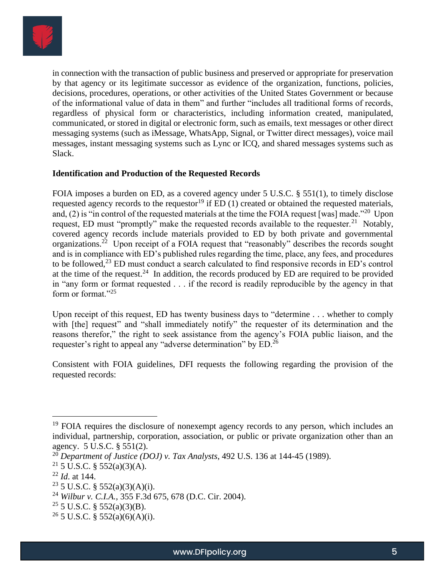

in connection with the transaction of public business and preserved or appropriate for preservation by that agency or its legitimate successor as evidence of the organization, functions, policies, decisions, procedures, operations, or other activities of the United States Government or because of the informational value of data in them" and further "includes all traditional forms of records, regardless of physical form or characteristics, including information created, manipulated, communicated, or stored in digital or electronic form, such as emails, text messages or other direct messaging systems (such as iMessage, WhatsApp, Signal, or Twitter direct messages), voice mail messages, instant messaging systems such as Lync or ICQ, and shared messages systems such as Slack.

### **Identification and Production of the Requested Records**

FOIA imposes a burden on ED, as a covered agency under 5 U.S.C. § 551(1), to timely disclose requested agency records to the requestor<sup>19</sup> if  $ED(1)$  created or obtained the requested materials, and, (2) is "in control of the requested materials at the time the FOIA request [was] made."<sup>20</sup> Upon request, ED must "promptly" make the requested records available to the requester.<sup>21</sup> Notably, covered agency records include materials provided to ED by both private and governmental organizations.<sup>22</sup> Upon receipt of a FOIA request that "reasonably" describes the records sought and is in compliance with ED's published rules regarding the time, place, any fees, and procedures to be followed,<sup>23</sup> ED must conduct a search calculated to find responsive records in ED's control at the time of the request.<sup>24</sup> In addition, the records produced by ED are required to be provided in "any form or format requested . . . if the record is readily reproducible by the agency in that form or format."<sup>25</sup>

Upon receipt of this request, ED has twenty business days to "determine . . . whether to comply with [the] request" and "shall immediately notify" the requester of its determination and the reasons therefor," the right to seek assistance from the agency's FOIA public liaison, and the requester's right to appeal any "adverse determination" by ED.<sup>26</sup>

Consistent with FOIA guidelines, DFI requests the following regarding the provision of the requested records:

<sup>&</sup>lt;sup>19</sup> FOIA requires the disclosure of nonexempt agency records to any person, which includes an individual, partnership, corporation, association, or public or private organization other than an agency. 5 U.S.C. § 551(2).

<sup>20</sup> *Department of Justice (DOJ) v. Tax Analysts*, 492 U.S. 136 at 144-45 (1989).

<sup>&</sup>lt;sup>21</sup> 5 U.S.C. § 552(a)(3)(A).

<sup>22</sup> *Id*. at 144.

 $23$  5 U.S.C. § 552(a)(3)(A)(i).

<sup>24</sup> *Wilbur v. C.I.A.*, 355 F.3d 675, 678 (D.C. Cir. 2004).

 $25$  5 U.S.C. § 552(a)(3)(B).

<sup>&</sup>lt;sup>26</sup> 5 U.S.C. § 552(a)(6)(A)(i).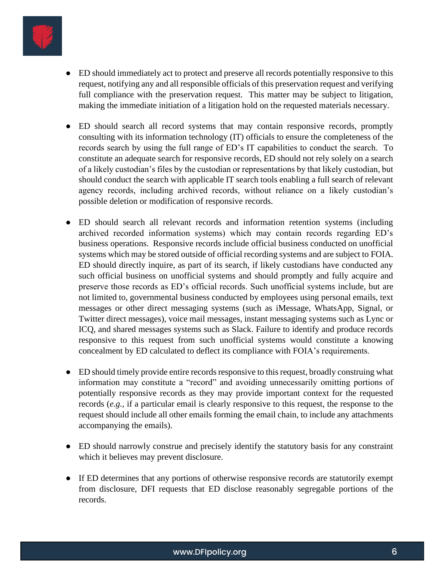

- ED should immediately act to protect and preserve all records potentially responsive to this request, notifying any and all responsible officials of this preservation request and verifying full compliance with the preservation request. This matter may be subject to litigation, making the immediate initiation of a litigation hold on the requested materials necessary.
- ED should search all record systems that may contain responsive records, promptly consulting with its information technology (IT) officials to ensure the completeness of the records search by using the full range of ED's IT capabilities to conduct the search. To constitute an adequate search for responsive records, ED should not rely solely on a search of a likely custodian's files by the custodian or representations by that likely custodian, but should conduct the search with applicable IT search tools enabling a full search of relevant agency records, including archived records, without reliance on a likely custodian's possible deletion or modification of responsive records.
- ED should search all relevant records and information retention systems (including archived recorded information systems) which may contain records regarding ED's business operations. Responsive records include official business conducted on unofficial systems which may be stored outside of official recording systems and are subject to FOIA. ED should directly inquire, as part of its search, if likely custodians have conducted any such official business on unofficial systems and should promptly and fully acquire and preserve those records as ED's official records. Such unofficial systems include, but are not limited to, governmental business conducted by employees using personal emails, text messages or other direct messaging systems (such as iMessage, WhatsApp, Signal, or Twitter direct messages), voice mail messages, instant messaging systems such as Lync or ICQ, and shared messages systems such as Slack. Failure to identify and produce records responsive to this request from such unofficial systems would constitute a knowing concealment by ED calculated to deflect its compliance with FOIA's requirements.
- ED should timely provide entire records responsive to this request, broadly construing what information may constitute a "record" and avoiding unnecessarily omitting portions of potentially responsive records as they may provide important context for the requested records (*e.g.,* if a particular email is clearly responsive to this request, the response to the request should include all other emails forming the email chain, to include any attachments accompanying the emails).
- ED should narrowly construe and precisely identify the statutory basis for any constraint which it believes may prevent disclosure.
- If ED determines that any portions of otherwise responsive records are statutorily exempt from disclosure, DFI requests that ED disclose reasonably segregable portions of the records.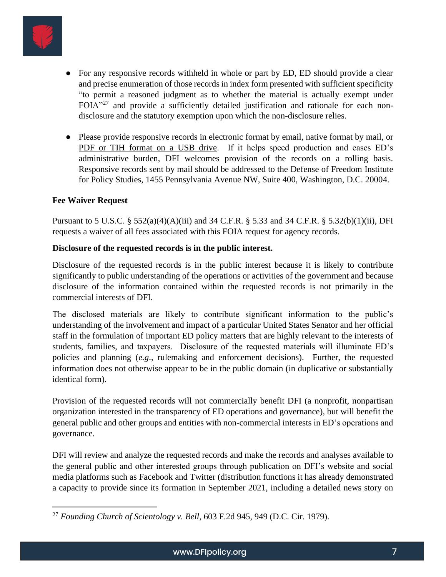

- For any responsive records withheld in whole or part by ED, ED should provide a clear and precise enumeration of those records in index form presented with sufficient specificity "to permit a reasoned judgment as to whether the material is actually exempt under  $F O I A''^{27}$  and provide a sufficiently detailed justification and rationale for each nondisclosure and the statutory exemption upon which the non-disclosure relies.
- Please provide responsive records in electronic format by email, native format by mail, or PDF or TIH format on a USB drive. If it helps speed production and eases ED's administrative burden, DFI welcomes provision of the records on a rolling basis. Responsive records sent by mail should be addressed to the Defense of Freedom Institute for Policy Studies, 1455 Pennsylvania Avenue NW, Suite 400, Washington, D.C. 20004.

## **Fee Waiver Request**

Pursuant to 5 U.S.C. § 552(a)(4)(A)(iii) and 34 C.F.R. § 5.33 and 34 C.F.R. § 5.32(b)(1)(ii), DFI requests a waiver of all fees associated with this FOIA request for agency records.

### **Disclosure of the requested records is in the public interest.**

Disclosure of the requested records is in the public interest because it is likely to contribute significantly to public understanding of the operations or activities of the government and because disclosure of the information contained within the requested records is not primarily in the commercial interests of DFI.

The disclosed materials are likely to contribute significant information to the public's understanding of the involvement and impact of a particular United States Senator and her official staff in the formulation of important ED policy matters that are highly relevant to the interests of students, families, and taxpayers. Disclosure of the requested materials will illuminate ED's policies and planning (*e.g*., rulemaking and enforcement decisions). Further, the requested information does not otherwise appear to be in the public domain (in duplicative or substantially identical form).

Provision of the requested records will not commercially benefit DFI (a nonprofit, nonpartisan organization interested in the transparency of ED operations and governance), but will benefit the general public and other groups and entities with non-commercial interests in ED's operations and governance.

DFI will review and analyze the requested records and make the records and analyses available to the general public and other interested groups through publication on DFI's website and social media platforms such as Facebook and Twitter (distribution functions it has already demonstrated a capacity to provide since its formation in September 2021, including a detailed news story on

<sup>27</sup> *Founding Church of Scientology v. Bell*, 603 F.2d 945, 949 (D.C. Cir. 1979).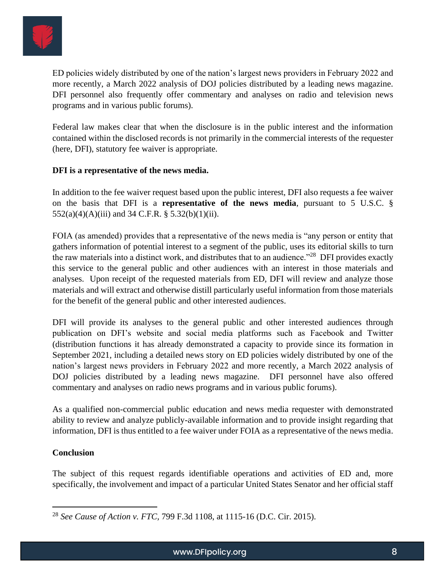

ED policies widely distributed by one of the nation's largest news providers in February 2022 and more recently, a March 2022 analysis of DOJ policies distributed by a leading news magazine. DFI personnel also frequently offer commentary and analyses on radio and television news programs and in various public forums).

Federal law makes clear that when the disclosure is in the public interest and the information contained within the disclosed records is not primarily in the commercial interests of the requester (here, DFI), statutory fee waiver is appropriate.

## **DFI is a representative of the news media.**

In addition to the fee waiver request based upon the public interest, DFI also requests a fee waiver on the basis that DFI is a **representative of the news media**, pursuant to 5 U.S.C. § 552(a)(4)(A)(iii) and 34 C.F.R. § 5.32(b)(1)(ii).

FOIA (as amended) provides that a representative of the news media is "any person or entity that gathers information of potential interest to a segment of the public, uses its editorial skills to turn the raw materials into a distinct work, and distributes that to an audience."<sup>28</sup> DFI provides exactly this service to the general public and other audiences with an interest in those materials and analyses. Upon receipt of the requested materials from ED, DFI will review and analyze those materials and will extract and otherwise distill particularly useful information from those materials for the benefit of the general public and other interested audiences.

DFI will provide its analyses to the general public and other interested audiences through publication on DFI's website and social media platforms such as Facebook and Twitter (distribution functions it has already demonstrated a capacity to provide since its formation in September 2021, including a detailed news story on ED policies widely distributed by one of the nation's largest news providers in February 2022 and more recently, a March 2022 analysis of DOJ policies distributed by a leading news magazine. DFI personnel have also offered commentary and analyses on radio news programs and in various public forums).

As a qualified non-commercial public education and news media requester with demonstrated ability to review and analyze publicly-available information and to provide insight regarding that information, DFI is thus entitled to a fee waiver under FOIA as a representative of the news media.

## **Conclusion**

The subject of this request regards identifiable operations and activities of ED and, more specifically, the involvement and impact of a particular United States Senator and her official staff

<sup>28</sup> *See Cause of Action v. FTC,* 799 F.3d 1108, at 1115-16 (D.C. Cir. 2015).